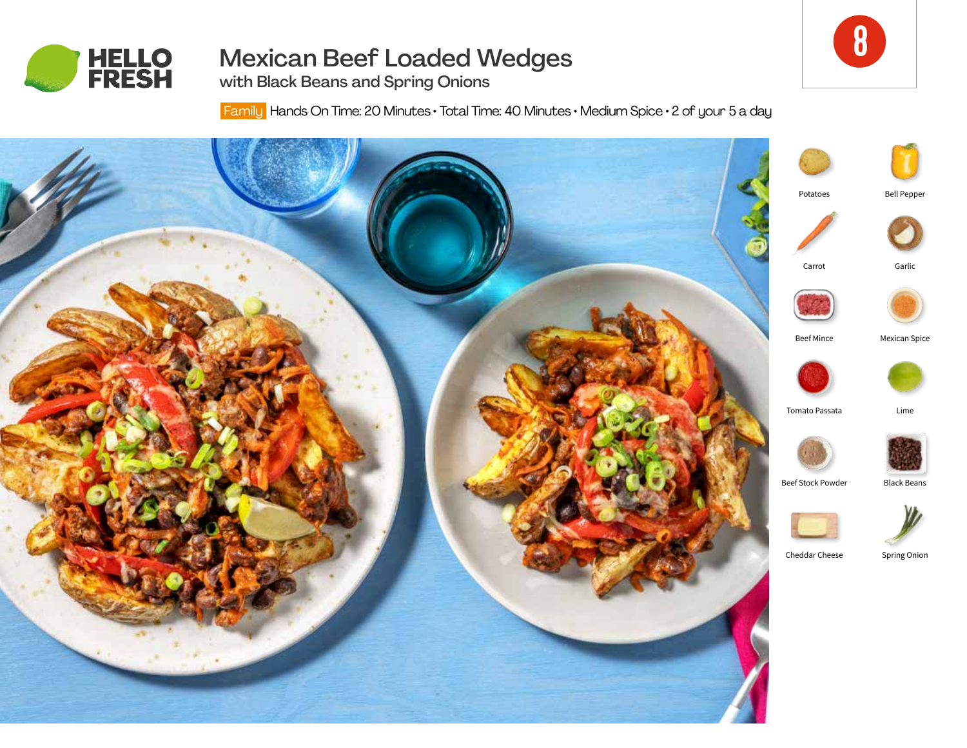

# Mexican Beef Loaded Wedges

with Black Beans and Spring Onions

Family Hands On Time: 20 Minutes • Total Time: 40 Minutes • Medium Spice • 2 of your 5 a day

8